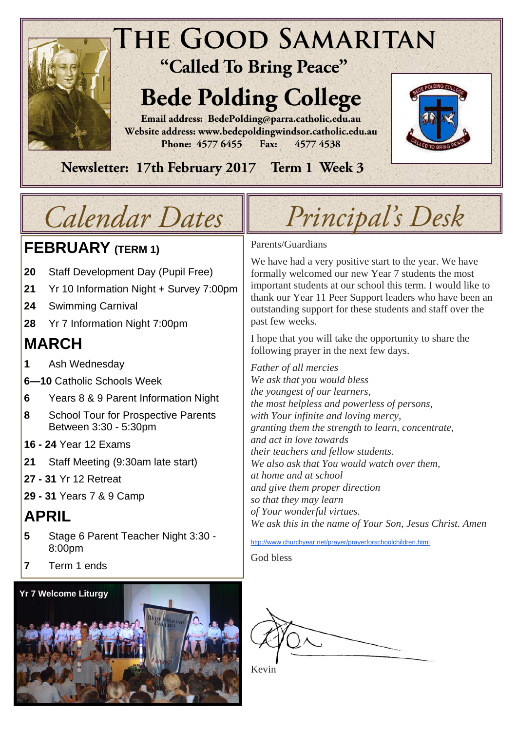

 **Newsletter: 17th February 2017 Term 1 Week 3** 

# **FEBRUARY (TERM 1)**

- **20** Staff Development Day (Pupil Free)
- **21** Yr 10 Information Night + Survey 7:00pm
- **24** Swimming Carnival
- **28** Yr 7 Information Night 7:00pm

# **MARCH**

- **1** Ash Wednesday
- **6—10** Catholic Schools Week
- **6** Years 8 & 9 Parent Information Night
- **8** School Tour for Prospective Parents Between 3:30 - 5:30pm
- **16 24** Year 12 Exams
- **21** Staff Meeting (9:30am late start)
- **27 31** Yr 12 Retreat
- **29 31** Years 7 & 9 Camp

# **APRIL**

- **5** Stage 6 Parent Teacher Night 3:30 8:00pm
- **7** Term 1 ends



# *Calendar Dates Principal's Desk*

# Parents/Guardians

We have had a very positive start to the year. We have formally welcomed our new Year 7 students the most important students at our school this term. I would like to thank our Year 11 Peer Support leaders who have been an outstanding support for these students and staff over the past few weeks.

I hope that you will take the opportunity to share the following prayer in the next few days.

*Father of all mercies We ask that you would bless the youngest of our learners, the most helpless and powerless of persons, with Your infinite and loving mercy, granting them the strength to learn, concentrate, and act in love towards their teachers and fellow students. We also ask that You would watch over them, at home and at school and give them proper direction so that they may learn of Your wonderful virtues. We ask this in the name of Your Son, Jesus Christ. Amen* 

http://www.churchyear.net/prayer/prayerforschoolchildren.html

God bless



Kevin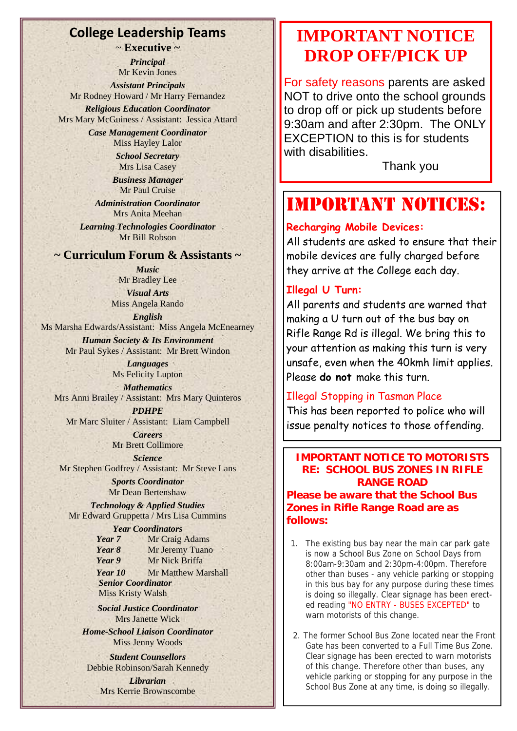## **College Leadership Teams**

~ **Executive ~** 

*Principal*  Mr Kevin Jones

*Assistant Principals*  Mr Rodney Howard / Mr Harry Fernandez

*Religious Education Coordinator*  Mrs Mary McGuiness / Assistant: Jessica Attard

*Case Management Coordinator*  Miss Hayley Lalor

*School Secretary*  Mrs Lisa Casey

*Business Manager*  Mr Paul Cruise

*Administration Coordinator*  Mrs Anita Meehan *Learning Technologies Coordinator*  Mr Bill Robson

## **~ Curriculum Forum & Assistants ~**

*Music*  Mr Bradley Lee *Visual Arts*  Miss Angela Rando

*English* 

Ms Marsha Edwards/Assistant: Miss Angela McEnearney

*Human Society & Its Environment*  Mr Paul Sykes / Assistant: Mr Brett Windon

> *Languages*  Ms Felicity Lupton

*Mathematics*  Mrs Anni Brailey / Assistant: Mrs Mary Quinteros

*PDHPE*  Mr Marc Sluiter / Assistant: Liam Campbell *Careers* 

Mr Brett Collimore

*Science*  Mr Stephen Godfrey / Assistant: Mr Steve Lans

*Sports Coordinator*  Mr Dean Bertenshaw

*Technology & Applied Studies*  Mr Edward Gruppetta / Mrs Lisa Cummins

> *Year Coordinators Year 7* Mr Craig Adams *Year 8* Mr Jeremy Tuano *Year 9* Mr Nick Briffa

Year 10 Mr Matthew Marshall  *Senior Coordinator*  **Miss Kristy Walsh** 

*Social Justice Coordinator*  Mrs Janette Wick

*Home-School Liaison Coordinator*  Miss Jenny Woods

*Student Counsellors*  Debbie Robinson/Sarah Kennedy

> *Librarian*  Mrs Kerrie Brownscombe

# **IMPORTANT NOTICE DROP OFF/PICK UP**

For safety reasons parents are asked NOT to drive onto the school grounds to drop off or pick up students before 9:30am and after 2:30pm. The ONLY EXCEPTION to this is for students with disabilities.

Thank you

# IMPORTANT NOTICES:

# **Recharging Mobile Devices:**

All students are asked to ensure that their mobile devices are fully charged before they arrive at the College each day.

## **Illegal U Turn:**

All parents and students are warned that making a U turn out of the bus bay on Rifle Range Rd is illegal. We bring this to your attention as making this turn is very unsafe, even when the 40kmh limit applies. Please **do not** make this turn.

## Illegal Stopping in Tasman Place

This has been reported to police who will issue penalty notices to those offending.

**IMPORTANT NOTICE TO MOTORISTS RE: SCHOOL BUS ZONES IN RIFLE RANGE ROAD Please be aware that the School Bus Zones in Rifle Range Road are as follows:**

- 1. The existing bus bay near the main car park gate is now a School Bus Zone on School Days from 8:00am-9:30am and 2:30pm-4:00pm. Therefore other than buses - any vehicle parking or stopping in this bus bay for any purpose during these times is doing so illegally. Clear signage has been erected reading "NO ENTRY - BUSES EXCEPTED" to warn motorists of this change.
- 2. The former School Bus Zone located near the Front Gate has been converted to a Full Time Bus Zone. Clear signage has been erected to warn motorists of this change. Therefore other than buses, any vehicle parking or stopping for any purpose in the School Bus Zone at any time, is doing so illegally.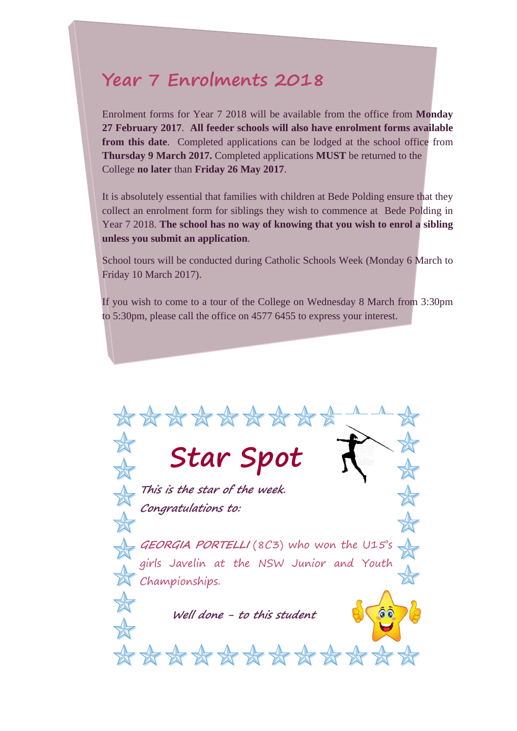# **Year 7 Enrolments 2018**

Enrolment forms for Year 7 2018 will be available from the office from **Monday 27 February 2017**. **All feeder schools will also have enrolment forms available from this date**. Completed applications can be lodged at the school office from **Thursday 9 March 2017.** Completed applications **MUST** be returned to the College **no later** than **Friday 26 May 2017**.

It is absolutely essential that families with children at Bede Polding ensure that they collect an enrolment form for siblings they wish to commence at Bede Polding in Year 7 2018. **The school has no way of knowing that you wish to enrol a sibling unless you submit an application**.

School tours will be conducted during Catholic Schools Week (Monday 6 March to Friday 10 March 2017).

If you wish to come to a tour of the College on Wednesday 8 March from 3:30pm to 5:30pm, please call the office on 4577 6455 to express your interest.

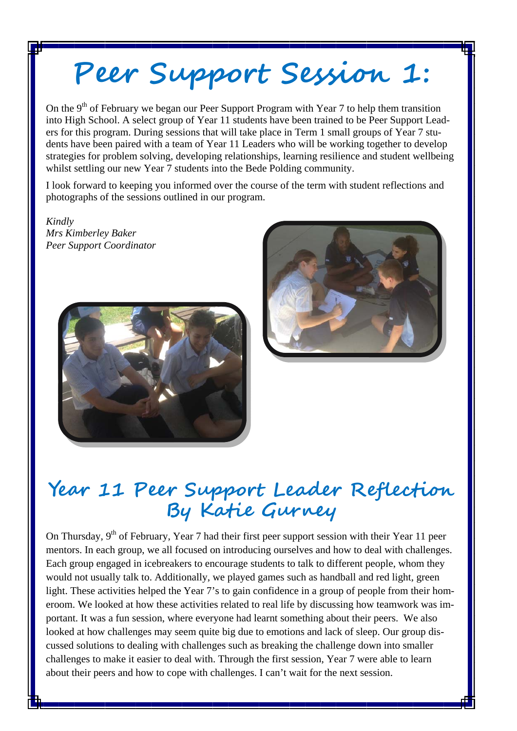# **Peer Support Session 1:**

On the 9<sup>th</sup> of February we began our Peer Support Program with Year 7 to help them transition into High School. A select group of Year 11 students have been trained to be Peer Support Leaders for this program. During sessions that will take place in Term 1 small groups of Year 7 students have been paired with a team of Year 11 Leaders who will be working together to develop strategies for problem solving, developing relationships, learning resilience and student wellbeing whilst settling our new Year 7 students into the Bede Polding community.

I look forward to keeping you informed over the course of the term with student reflections and photographs of the sessions outlined in our program.

*Kindly Mrs Kimberley Baker Peer Support Coordinator*





# **Year 11 Peer Support Leader Reflection By Katie Gurney**

On Thursday, 9<sup>th</sup> of February, Year 7 had their first peer support session with their Year 11 peer mentors. In each group, we all focused on introducing ourselves and how to deal with challenges. Each group engaged in icebreakers to encourage students to talk to different people, whom they would not usually talk to. Additionally, we played games such as handball and red light, green light. These activities helped the Year 7's to gain confidence in a group of people from their homeroom. We looked at how these activities related to real life by discussing how teamwork was important. It was a fun session, where everyone had learnt something about their peers. We also looked at how challenges may seem quite big due to emotions and lack of sleep. Our group discussed solutions to dealing with challenges such as breaking the challenge down into smaller challenges to make it easier to deal with. Through the first session, Year 7 were able to learn about their peers and how to cope with challenges. I can't wait for the next session.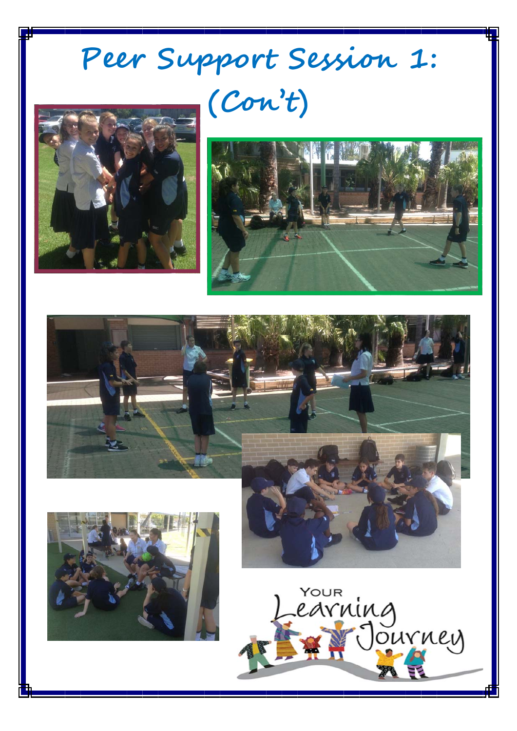# Peer Support Session 1: (Con't)





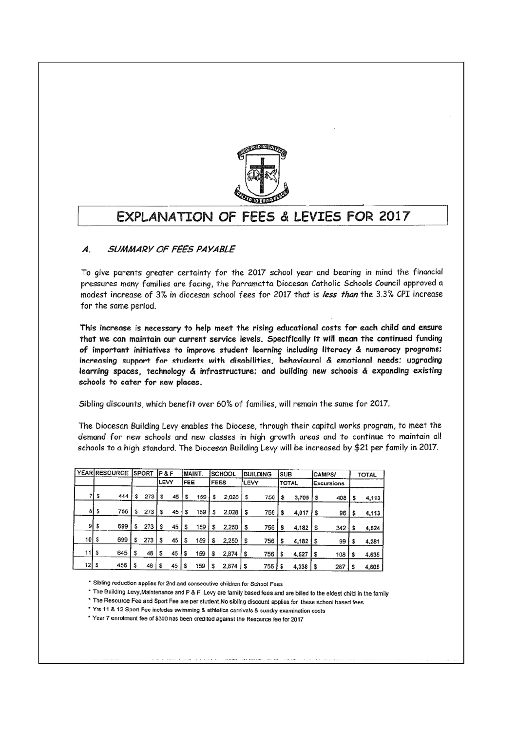

# EXPLANATION OF FEES & LEVIES FOR 2017

#### SUMMARY OF FEES PAYABLE  $\boldsymbol{A}$ .

To give parents greater certainty for the 2017 school year and bearing in mind the financial pressures many families are facing, the Parramatta Diocesan Catholic Schools Council approved a modest increase of 3% in diocesan school fees for 2017 that is less than the 3.3% CPI increase for the same period.

This increase is necessary to help meet the rising educational costs for each child and ensure that we can maintain our current service levels. Specifically it will mean the continued funding of important initiatives to improve student learning including literacy & numeracy programs: increasing support for students with disabilities, behavioural & emotional needs; upgrading learning spaces, technology & infrastructure; and building new schools & expanding existing schools to cater for new places.

Sibling discounts, which benefit over 60% of families, will remain the same for 2017.

The Diocesan Building Levy enables the Diocese, through their capital works program, to meet the demand for new schools and new classes in high growth areas and to continue to maintain all schools to a high standard. The Diocesan Building Levy will be increased by \$21 per family in 2017.

|        |   | <b>YEAR RESOURCE</b> |   | <b>SPORT</b> | $P$ &F |    |     | MAINT. |             | <b>SCHOOL</b>         |             | <b>BUILDING</b> | <b>SUB</b> |              | <b>CAMPS/</b> |            | <b>TOTAL</b> |
|--------|---|----------------------|---|--------------|--------|----|-----|--------|-------------|-----------------------|-------------|-----------------|------------|--------------|---------------|------------|--------------|
|        |   |                      |   |              | LEVY   |    | FEE |        | <b>FEES</b> |                       | <b>LEVY</b> |                 |            | <b>TOTAL</b> |               | Excursions |              |
|        |   | 444                  | s | 273          | s      | 45 |     | 159    | s           | 2,028                 | s           | 756             | \$         | 3,705        | l s           | 408        | 4,113        |
| 81     | s | 756                  | s | 273          |        | 45 | s   | 159    | s           | 2,028                 | \$          | 756             | \$         | 4,017        | i s           | 96         | 4,113        |
| 9      | s | 699                  | s | 273          | s      | 45 | s   | 159    | s           | 2,250                 | S           | 756             |            | 4,182        | l s           | 342        | 4,524        |
| 10     | s | 699                  | s | 273          |        | 45 | s   | 159    | S           | 2,250                 | s           | 756             | s          | 4,182        | l s           | 99         | 4,281        |
|        |   | 645                  |   | 48           | s      | 45 |     | 159    | s           | 2,874                 | s           | 756             |            | 4,527        | Is            | 108        | 4,635        |
| 12   S |   | 456                  |   | 48           | s      | 45 |     | 159    | S           | $2,874$ $\frac{1}{5}$ |             | 756             |            | 4,338        | S             | 267        | 4,605        |

\* Sibling reduction applies for 2nd and consecutive children for School Fees

\* The Building Levy, Maintenance and P & F Levy are family based fees and are billed to the eldest child in the family

\* The Resource Fee and Sport Fee are per student. No sibling discount applies for these school based fees.

\* Yrs 11 & 12 Sport Fee includes swimming & athletics carnivals & sundry examination costs

\* Year 7 enrolment fee of \$300 has been credited against the Resource fee for 2017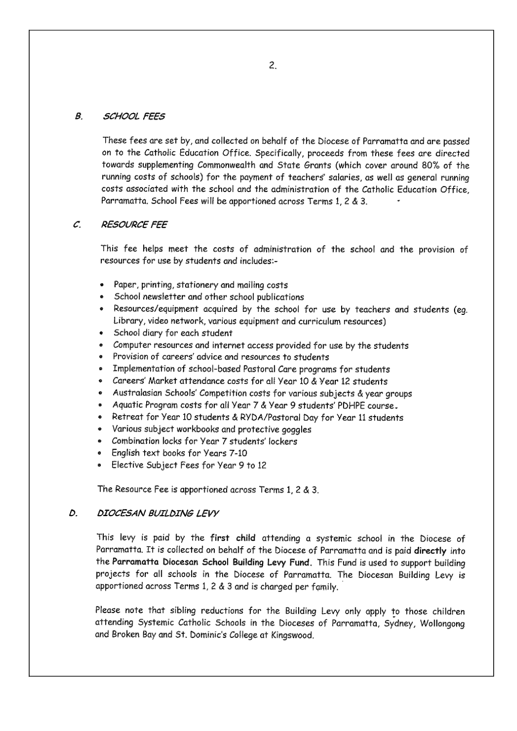#### $\boldsymbol{\beta}$ **SCHOOL FEES**

These fees are set by, and collected on behalf of the Diocese of Parramatta and are passed on to the Catholic Education Office. Specifically, proceeds from these fees are directed towards supplementing Commonwealth and State Grants (which cover around 80% of the running costs of schools) for the payment of teachers' salaries, as well as general running costs associated with the school and the administration of the Catholic Education Office. Parramatta, School Fees will be apportioned across Terms 1, 2 & 3.

#### **RESOURCE FEE**  $\mathcal{C}$

This fee helps meet the costs of administration of the school and the provision of resources for use by students and includes:-

- Paper, printing, stationery and mailing costs
- School newsletter and other school publications
- . Resources/equipment acquired by the school for use by teachers and students (eq. Library, video network, various equipment and curriculum resources)
- · School diary for each student
- Computer resources and internet access provided for use by the students
- Provision of careers' advice and resources to students
- Implementation of school-based Pastoral Care programs for students
- Careers' Market attendance costs for all Year 10 & Year 12 students
- Australasian Schools' Competition costs for various subjects & year groups
- Aquatic Program costs for all Year 7 & Year 9 students' PDHPE course.
- Retreat for Year 10 students & RYDA/Pastoral Day for Year 11 students
- Various subject workbooks and protective gogales
- · Combination locks for Year 7 students' lockers
- English text books for Years 7-10
- Elective Subject Fees for Year 9 to 12

The Resource Fee is apportioned across Terms  $1, 2, 3, 3$ .

#### D. DIOCESAN BUILDING LEVY

This levy is paid by the first child attending a systemic school in the Diocese of Parramatta. It is collected on behalf of the Diocese of Parramatta and is paid directly into the Parramatta Diocesan School Building Levy Fund. This Fund is used to support building projects for all schools in the Diocese of Parramatta. The Diocesan Building Levy is apportioned across Terms 1, 2 & 3 and is charged per family.

Please note that sibling reductions for the Building Levy only apply to those children attending Systemic Catholic Schools in the Dioceses of Parramatta, Sydney, Wollongong and Broken Bay and St. Dominic's College at Kingswood.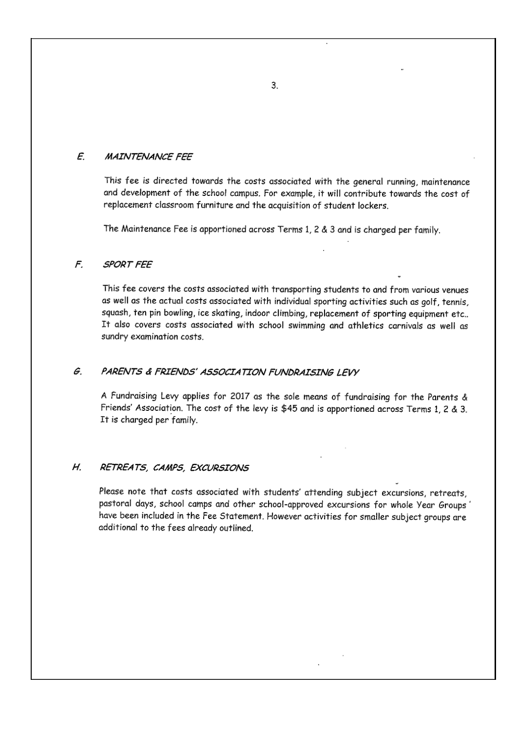#### $\mathcal{E}$ **MAINTENANCE FEE**

This fee is directed towards the costs associated with the general running, maintenance and development of the school campus. For example, it will contribute towards the cost of replacement classroom furniture and the acquisition of student lockers.

The Maintenance Fee is apportioned across Terms 1, 2 & 3 and is charged per family.

#### F. **SPORT FEE**

This fee covers the costs associated with transporting students to and from various venues as well as the actual costs associated with individual sporting activities such as golf, tennis, squash, ten pin bowling, ice skating, indoor climbing, replacement of sporting equipment etc.. It also covers costs associated with school swimming and athletics carnivals as well as sundry examination costs.

#### G. PARENTS & FRIENDS' ASSOCIATION FUNDRAISING LEVY

A Fundraising Levy applies for 2017 as the sole means of fundraising for the Parents & Friends' Association. The cost of the levy is \$45 and is apportioned across Terms 1, 2 & 3. It is charged per family.

#### Н. RETREATS, CAMPS, EXCURSIONS

Please note that costs associated with students' attending subject excursions, retreats, pastoral days, school camps and other school-approved excursions for whole Year Groups' have been included in the Fee Statement. However activities for smaller subject groups are additional to the fees already outlined.

 $3.$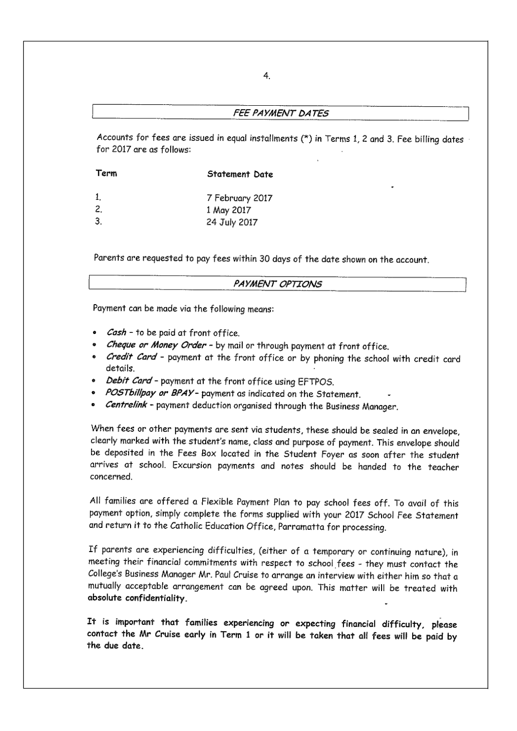## FEE PAYMENT DATES

Accounts for fees are issued in equal installments (\*) in Terms 1, 2 and 3. Fee billing dates for 2017 are as follows:

| Term | Statement Date  |
|------|-----------------|
| 1.   | 7 February 2017 |
| 2.   | 1 May 2017      |
| -3.  | 24 July 2017    |

Parents are requested to pay fees within 30 days of the date shown on the account.

## PAYMENT OPTIONS

Payment can be made via the following means:

- *Cash* to be paid at front office.
- · Cheque or Money Order by mail or through payment at front office.
- . Credit Card payment at the front office or by phoning the school with credit card details.
- Debit Card payment at the front office using EFTPOS.
- POSTbillpay or BPAY- payment as indicated on the Statement.
- Centrelink payment deduction organised through the Business Manager.

When fees or other payments are sent via students, these should be sealed in an envelope, clearly marked with the student's name, class and purpose of payment. This envelope should be deposited in the Fees Box located in the Student Foyer as soon after the student arrives at school. Excursion payments and notes should be handed to the teacher concerned.

All families are offered a Flexible Payment Plan to pay school fees off. To avail of this payment option, simply complete the forms supplied with your 2017 School Fee Statement and return it to the Catholic Education Office, Parramatta for processing.

If parents are experiencing difficulties, (either of a temporary or continuing nature), in meeting their financial commitments with respect to school fees - they must contact the College's Business Manager Mr. Paul Cruise to arrange an interview with either him so that a mutually acceptable arrangement can be agreed upon. This matter will be treated with absolute confidentiality.

It is important that families experiencing or expecting financial difficulty, please contact the Mr Cruise early in Term 1 or it will be taken that all fees will be paid by the due date